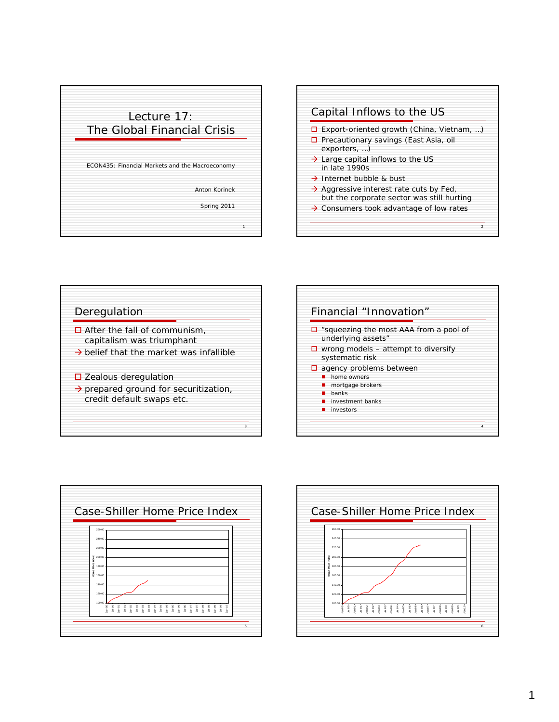









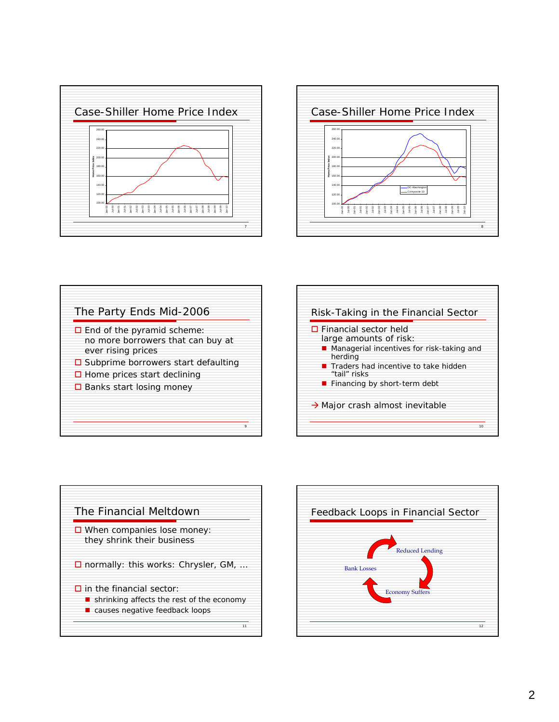